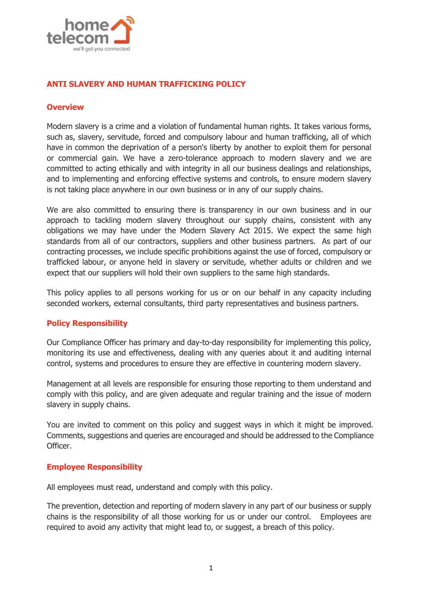

# **ANTI SLAVERY AND HUMAN TRAFFICKING POLICY**

### **Overview**

Modern slavery is a crime and a violation of fundamental human rights. It takes various forms, such as, slavery, servitude, forced and compulsory labour and human trafficking, all of which have in common the deprivation of a person's liberty by another to exploit them for personal or commercial gain. We have a zero-tolerance approach to modern slavery and we are committed to acting ethically and with integrity in all our business dealings and relationships, and to implementing and enforcing effective systems and controls, to ensure modern slavery is not taking place anywhere in our own business or in any of our supply chains.

We are also committed to ensuring there is transparency in our own business and in our approach to tackling modern slavery throughout our supply chains, consistent with any obligations we may have under the Modern Slavery Act 2015. We expect the same high standards from all of our contractors, suppliers and other business partners. As part of our contracting processes, we include specific prohibitions against the use of forced, compulsory or trafficked labour, or anyone held in slavery or servitude, whether adults or children and we expect that our suppliers will hold their own suppliers to the same high standards.

This policy applies to all persons working for us or on our behalf in any capacity including seconded workers, external consultants, third party representatives and business partners.

## **Policy Responsibility**

Our Compliance Officer has primary and day-to-day responsibility for implementing this policy, monitoring its use and effectiveness, dealing with any queries about it and auditing internal control, systems and procedures to ensure they are effective in countering modern slavery.

Management at all levels are responsible for ensuring those reporting to them understand and comply with this policy, and are given adequate and regular training and the issue of modern slavery in supply chains.

You are invited to comment on this policy and suggest ways in which it might be improved. Comments, suggestions and queries are encouraged and should be addressed to the Compliance Officer.

#### **Employee Responsibility**

All employees must read, understand and comply with this policy.

The prevention, detection and reporting of modern slavery in any part of our business or supply chains is the responsibility of all those working for us or under our control. Employees are required to avoid any activity that might lead to, or suggest, a breach of this policy.